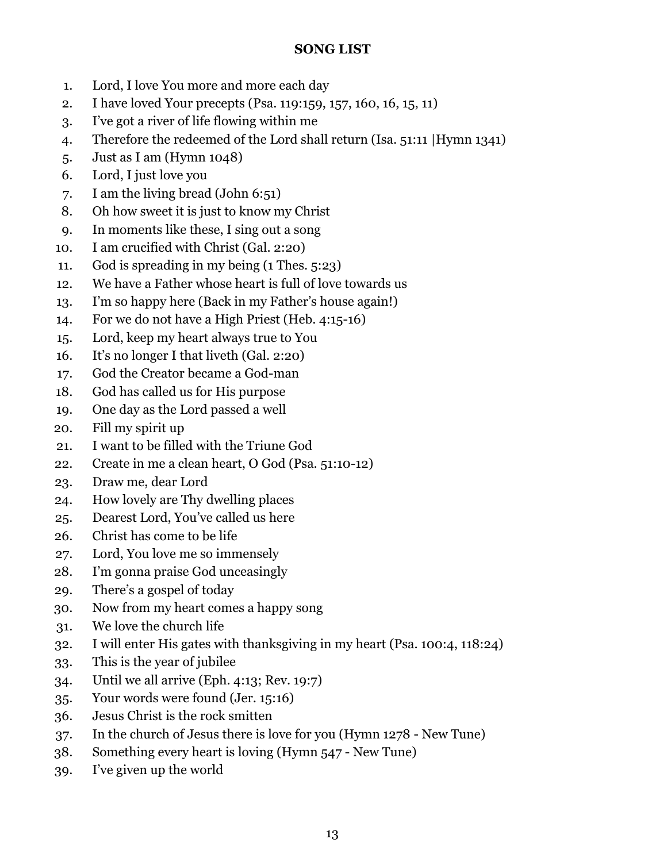# **SONG LIST**

- 1. Lord, I love You more and more each day
- 2. I have loved Your precepts (Psa. 119:159, [157, 160](http://online.recoveryversion.bible/BibleChapters.cfm?cid=857), [16](http://online.recoveryversion.bible/BibleChapters.cfm?cid=857), [15](http://online.recoveryversion.bible/BibleChapters.cfm?cid=857), [11](http://online.recoveryversion.bible/BibleChapters.cfm?cid=857))
- 3. I've got a river of life flowing within me
- 4. Therefore the redeemed of the Lord shall return (Isa. 51:11 |Hymn 1341)
- 5. Just as I am (Hymn 1048)
- 6. Lord, I just love you
- 7. I am the living bread (John 6:51)
- 8. Oh how sweet it is just to know my Christ
- 9. In moments like these, I sing out a song
- 10. I am crucified with Christ (Gal. 2:20)
- 11. God is spreading in my being (1 Thes. 5:23)
- 12. We have a Father whose heart is full of love towards us
- 13. I'm so happy here (Back in my Father's house again!)
- 14. For we do not have a High Priest (Heb. 4:15-16)
- 15. Lord, keep my heart always true to You
- 16. It's no longer I that liveth (Gal. 2:20)
- 17. God the Creator became a God-man
- 18. God has called us for His purpose
- 19. One day as the Lord passed a well
- 20. Fill my spirit up
- 21. I want to be filled with the Triune God
- 22. Create in me a clean heart, O God (Psa. 51:10-12)
- 23. Draw me, dear Lord
- 24. How lovely are Thy dwelling places
- 25. Dearest Lord, You've called us here
- 26. Christ has come to be life
- 27. Lord, You love me so immensely
- 28. I'm gonna praise God unceasingly
- 29. There's a gospel of today
- 30. Now from my heart comes a happy song
- 31. We love the church life
- 32. I will enter His gates with thanksgiving in my heart (Psa. 100:4, 118:24)
- 33. This is the year of jubilee
- 34. Until we all arrive (Eph. 4:13; Rev. 19:7)
- 35. Your words were found (Jer. 15:16)
- 36. Jesus Christ is the rock smitten
- 37. In the church of Jesus there is love for you (Hymn 1278 New Tune)
- 38. Something every heart is loving (Hymn 547 New Tune)
- 39. I've given up the world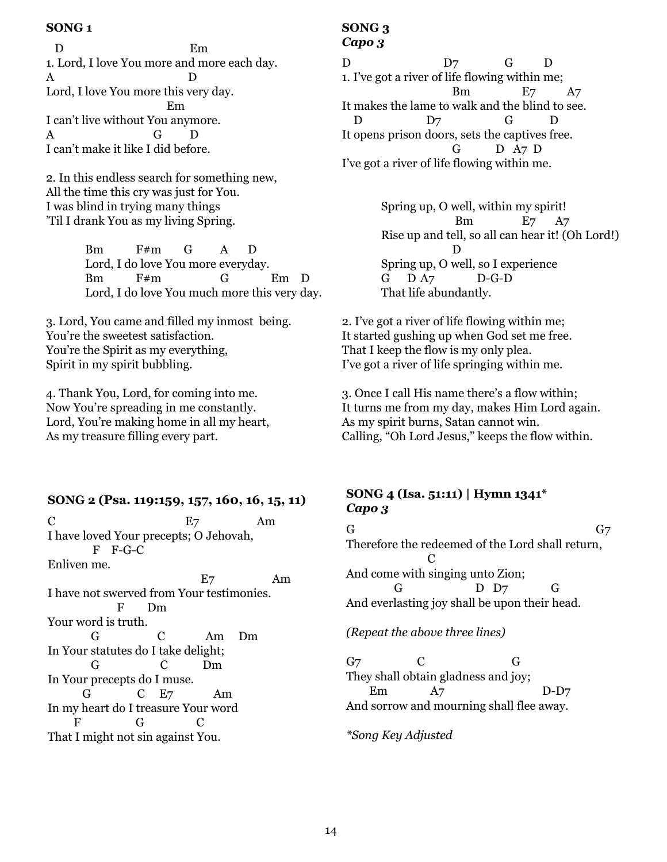D Em 1. Lord, I love You more and more each day. A D Lord, I love You more this very day. Em I can't live without You anymore. A G D I can't make it like I did before.

2. In this endless search for something new, All the time this cry was just for You. I was blind in trying many things 'Til I drank You as my living Spring.

> Bm F#m G A D Lord, I do love You more everyday. Bm F#m G Em D Lord, I do love You much more this very day.

3. Lord, You came and filled my inmost being. You're the sweetest satisfaction. You're the Spirit as my everything, Spirit in my spirit bubbling.

4. Thank You, Lord, for coming into me. Now You're spreading in me constantly. Lord, You're making home in all my heart, As my treasure filling every part.

### **SONG 2 (Psa. 119:159, [157](http://online.recoveryversion.bible/BibleChapters.cfm?cid=857), [160](http://online.recoveryversion.bible/BibleChapters.cfm?cid=857), [16,](http://online.recoveryversion.bible/BibleChapters.cfm?cid=857) [15](http://online.recoveryversion.bible/BibleChapters.cfm?cid=857), [11](http://online.recoveryversion.bible/BibleChapters.cfm?cid=857))**

 $E$ 7 Am I have loved Your precepts; O Jehovah, F F-G-C Enliven me. E7 Am I have not swerved from Your testimonies. F Dm Your word is truth. G C Am Dm In Your statutes do I take delight; G C Dm In Your precepts do I muse. G C E7 Am In my heart do I treasure Your word F G C That I might not sin against You.

#### **SONG 3** *Capo 3*

D D7 G D 1. I've got a river of life flowing within me; Bm E7 A7 It makes the lame to walk and the blind to see. D D7 G D It opens prison doors, sets the captives free. G D A7 D I've got a river of life flowing within me.

> Spring up, O well, within my spirit! Bm E7 A7 Rise up and tell, so all can hear it! (Oh Lord!) D Spring up, O well, so I experience G D A7 D-G-D That life abundantly.

2. I've got a river of life flowing within me; It started gushing up when God set me free. That I keep the flow is my only plea. I've got a river of life springing within me.

3. Once I call His name there's a flow within; It turns me from my day, makes Him Lord again. As my spirit burns, Satan cannot win. Calling, "Oh Lord Jesus," keeps the flow within.

# **SONG 4 (Isa. 51:11) | Hymn 1341\*** *Capo 3*

G and  $G_7$ Therefore the redeemed of the Lord shall return, C And come with singing unto Zion; G D D7 G And everlasting joy shall be upon their head.

*(Repeat the above three lines)*

 $G$  C G They shall obtain gladness and joy; Em A7 D-D7 And sorrow and mourning shall flee away.

*\*Song Key Adjusted*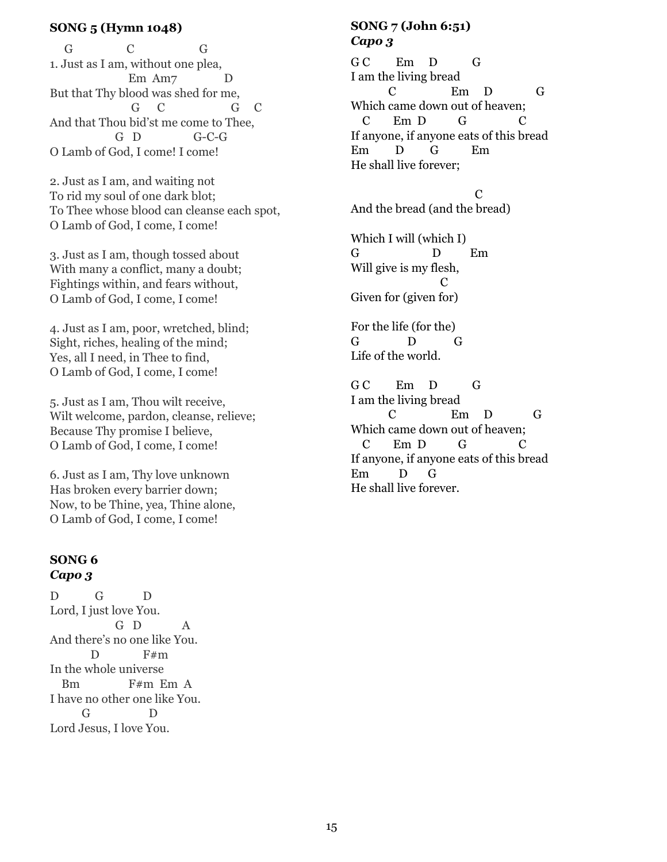# **SONG 5 (Hymn 1048)**

 G C G 1. Just as I am, without one plea, Em Am7 D But that Thy blood was shed for me, G C G C And that Thou bid'st me come to Thee, G D G-C-G O Lamb of God, I come! I come!

2. Just as I am, and waiting not To rid my soul of one dark blot; To Thee whose blood can cleanse each spot, O Lamb of God, I come, I come!

3. Just as I am, though tossed about With many a conflict, many a doubt; Fightings within, and fears without, O Lamb of God, I come, I come!

4. Just as I am, poor, wretched, blind; Sight, riches, healing of the mind; Yes, all I need, in Thee to find, O Lamb of God, I come, I come!

5. Just as I am, Thou wilt receive, Wilt welcome, pardon, cleanse, relieve; Because Thy promise I believe, O Lamb of God, I come, I come!

6. Just as I am, Thy love unknown Has broken every barrier down; Now, to be Thine, yea, Thine alone, O Lamb of God, I come, I come!

## **SONG 6** *Capo 3*

D G D Lord, I just love You. G D A And there's no one like You.  $D$  F#m In the whole universe Bm F#m Em A I have no other one like You. G D Lord Jesus, I love You.

# **SONG 7 (John 6:51)** *Capo 3*

GC Em D G I am the living bread C Em D G Which came down out of heaven; C Em D G C If anyone, if anyone eats of this bread Em D G Em He shall live forever;

**C** and **C** And the bread (and the bread)

Which I will (which I) G D Em Will give is my flesh, **C** Given for (given for)

For the life (for the) G D G Life of the world.

G C Em D G I am the living bread C Em D G Which came down out of heaven; C Em D G C If anyone, if anyone eats of this bread Em D G He shall live forever.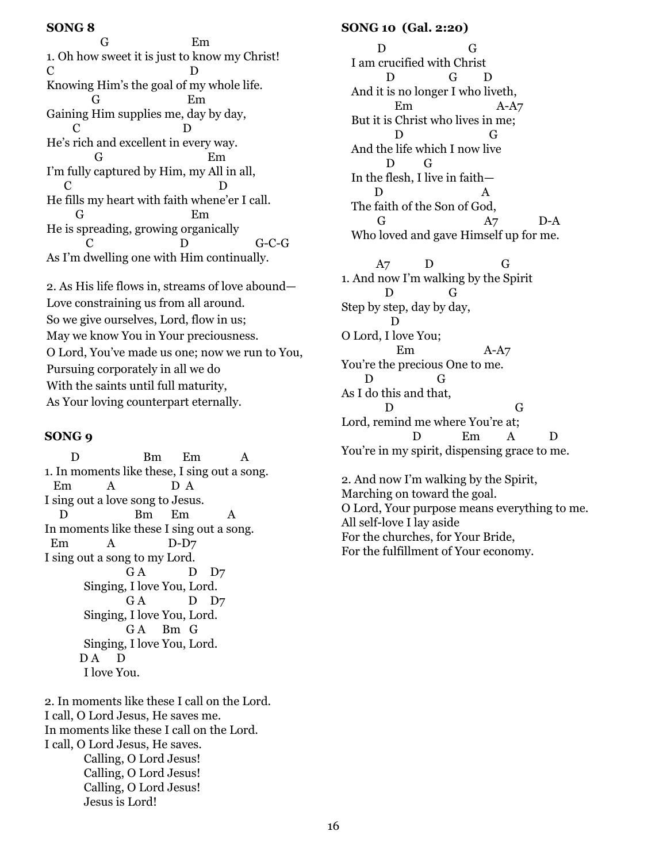G Em 1. Oh how sweet it is just to know my Christ! C D Knowing Him's the goal of my whole life. G Em Gaining Him supplies me, day by day, C D He's rich and excellent in every way. G Em I'm fully captured by Him, my All in all, C D He fills my heart with faith whene'er I call. G Em He is spreading, growing organically C D G-C-G As I'm dwelling one with Him continually.

2. As His life flows in, streams of love abound— Love constraining us from all around. So we give ourselves, Lord, flow in us; May we know You in Your preciousness. O Lord, You've made us one; now we run to You, Pursuing corporately in all we do With the saints until full maturity, As Your loving counterpart eternally.

#### **SONG 9**

D Bm Em A 1. In moments like these, I sing out a song. Em A D A I sing out a love song to Jesus. D Bm Em A In moments like these I sing out a song. Em A D-D7 I sing out a song to my Lord. GA D D7 Singing, I love You, Lord. GA D D7 Singing, I love You, Lord. GA Bm G Singing, I love You, Lord. D A D I love You.

2. In moments like these I call on the Lord. I call, O Lord Jesus, He saves me. In moments like these I call on the Lord. I call, O Lord Jesus, He saves. Calling, O Lord Jesus! Calling, O Lord Jesus! Calling, O Lord Jesus! Jesus is Lord!

#### **SONG 10 (Gal. 2:20)**

 DG I am crucified with Christ D G D And it is no longer I who liveth, Em A-A7 But it is Christ who lives in me; D G And the life which I now live D G In the flesh, I live in faith— D A The faith of the Son of God, G A7 D-A Who loved and gave Himself up for me.

 A7 D G 1. And now I'm walking by the Spirit D G Step by step, day by day, D O Lord, I love You; Em A-A7 You're the precious One to me. D G As I do this and that, D G Lord, remind me where You're at: D Em A D You're in my spirit, dispensing grace to me.

2. And now I'm walking by the Spirit, Marching on toward the goal. O Lord, Your purpose means everything to me. All self-love I lay aside For the churches, for Your Bride, For the fulfillment of Your economy.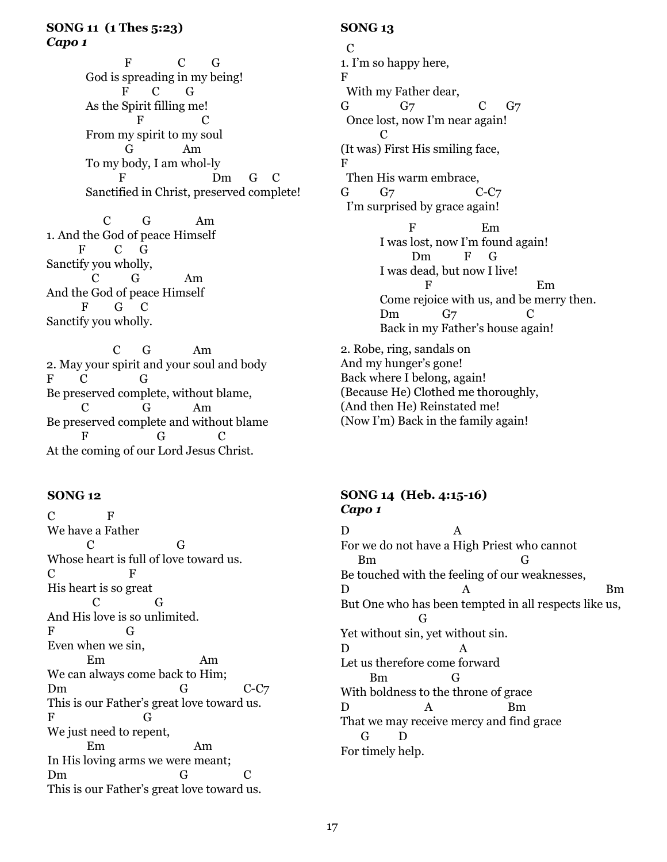F C G God is spreading in my being! F C G As the Spirit filling me! F C From my spirit to my soul G Am To my body, I am whol-ly Dm G Sanctified in Christ, preserved complete!

 C G Am 1. And the God of peace Himself F C G Sanctify you wholly, C G Am And the God of peace Himself F G C Sanctify you wholly.

 C G Am 2. May your spirit and your soul and body F C G Be preserved complete, without blame, C G Am Be preserved complete and without blame F G C At the coming of our Lord Jesus Christ.

# **SONG 12**

C F We have a Father C G Whose heart is full of love toward us. C F His heart is so great C G And His love is so unlimited. F G Even when we sin, Em Am We can always come back to Him; Dm G C-C7 This is our Father's great love toward us. F G We just need to repent, Em Am In His loving arms we were meant; Dm G C This is our Father's great love toward us.

# **SONG 13**

 C 1. I'm so happy here, F With my Father dear, G G7 C G7 Once lost, now I'm near again!  $\mathbf C$ (It was) First His smiling face, F Then His warm embrace, G G7 C-C7 I'm surprised by grace again! E<sub>m</sub> I was lost, now I'm found again! Dm F G I was dead, but now I live! E<sub>m</sub> Come rejoice with us, and be merry then. Dm  $G_7$  C Back in my Father's house again! 2. Robe, ring, sandals on And my hunger's gone! Back where I belong, again! (Because He) Clothed me thoroughly, (And then He) Reinstated me!

# **SONG 14 (Heb. 4:15-16)** *Capo 1*

(Now I'm) Back in the family again!

D A For we do not have a High Priest who cannot Bm G Be touched with the feeling of our weaknesses, D A Bm But One who has been tempted in all respects like us, G Yet without sin, yet without sin. D A Let us therefore come forward Bm G With boldness to the throne of grace D A Bm That we may receive mercy and find grace G D For timely help.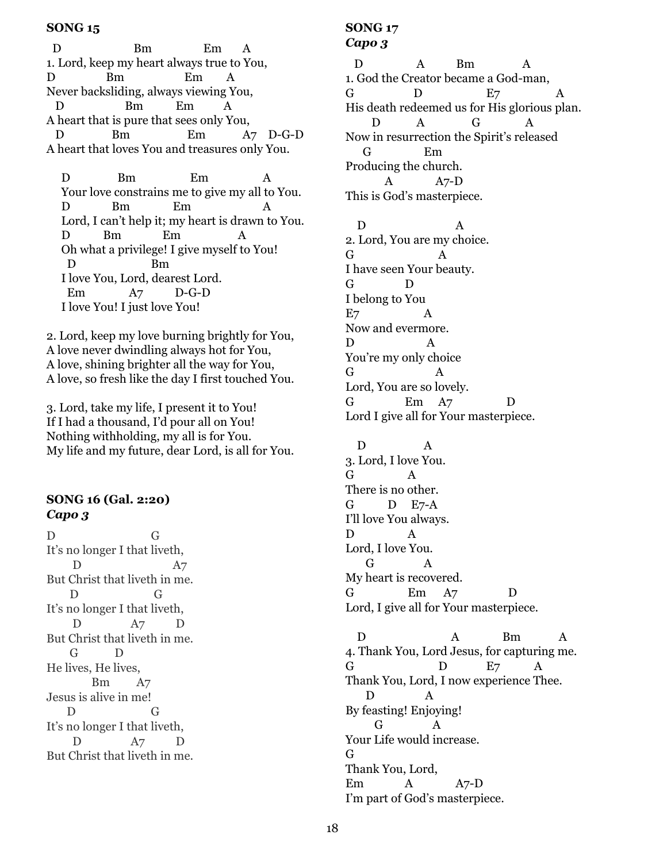D Bm Em A 1. Lord, keep my heart always true to You, D Bm Em A Never backsliding, always viewing You, D Bm Em A A heart that is pure that sees only You, D Bm Em A7 D-G-D A heart that loves You and treasures only You.

D Bm Em A Your love constrains me to give my all to You. D Bm Em A Lord, I can't help it; my heart is drawn to You. D Bm Em Oh what a privilege! I give myself to You! D Bm I love You, Lord, dearest Lord. Em A7 D-G-D I love You! I just love You!

2. Lord, keep my love burning brightly for You, A love never dwindling always hot for You, A love, shining brighter all the way for You, A love, so fresh like the day I first touched You.

3. Lord, take my life, I present it to You! If I had a thousand, I'd pour all on You! Nothing withholding, my all is for You. My life and my future, dear Lord, is all for You.

# **SONG 16 (Gal. 2:20)** *Capo 3*

D G It's no longer I that liveth, D A7 But Christ that liveth in me. D G It's no longer I that liveth, D A7 But Christ that liveth in me. G D He lives, He lives, Bm A7 Jesus is alive in me! D G It's no longer I that liveth, D A7 D But Christ that liveth in me.

# **SONG 17** *Capo 3*

D A Bm A 1. God the Creator became a God-man, G  $D$   $E7$   $A$ His death redeemed us for His glorious plan. D A G A Now in resurrection the Spirit's released G Em Producing the church. A A7-D This is God's masterpiece.

D A 2. Lord, You are my choice. G A I have seen Your beauty. G D I belong to You E7 A Now and evermore. D A You're my only choice G A Lord, You are so lovely. G Em A7 D Lord I give all for Your masterpiece.

 D A 3. Lord, I love You.  $G \qquad A$ There is no other. G D E7-A I'll love You always. D A Lord, I love You. G A My heart is recovered. G Em A7 D Lord, I give all for Your masterpiece.

D A Bm A 4. Thank You, Lord Jesus, for capturing me. G  $D$   $E7$  A Thank You, Lord, I now experience Thee.  $\mathbf{D}$ By feasting! Enjoying! G A Your Life would increase. G Thank You, Lord, Em A A7-D I'm part of God's masterpiece.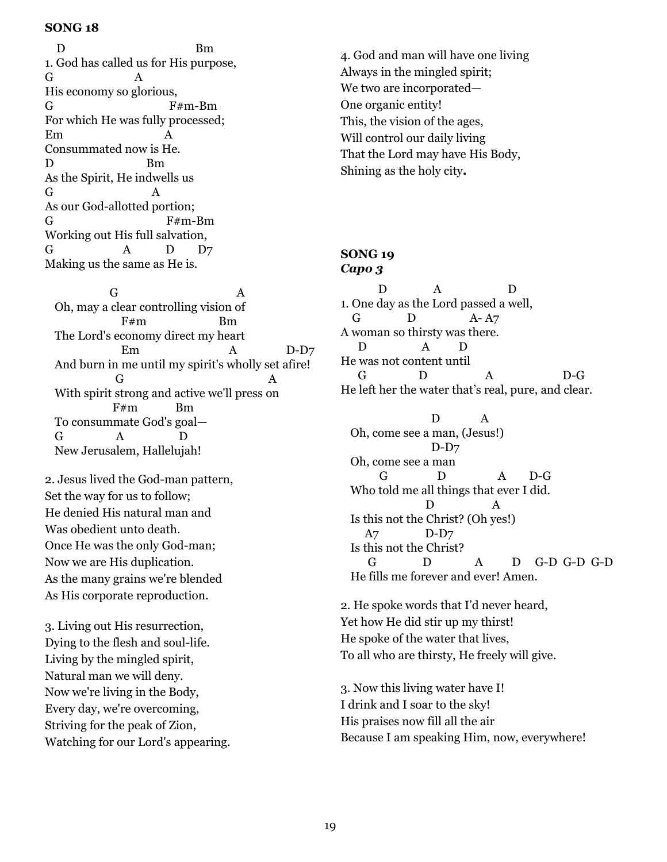D Bm 1. God has called us for His purpose, G A His economy so glorious, G F#m-Bm For which He was fully processed; Em A Consummated now is He. D Bm As the Spirit, He indwells us G A As our God-allotted portion; G F#m-Bm Working out His full salvation, G A D D7 Making us the same as He is.

G A Oh, may a clear controlling vision of F#m Bm The Lord's economy direct my heart Em A D-D7 And burn in me until my spirit's wholly set afire! G A With spirit strong and active we'll press on F#m Bm To consummate God's goal— G A D New Jerusalem, Hallelujah!

2. Jesus lived the God-man pattern, Set the way for us to follow; He denied His natural man and Was obedient unto death. Once He was the only God-man; Now we are His duplication. As the many grains we're blended As His corporate reproduction.

3. Living out His resurrection, Dying to the flesh and soul-life. Living by the mingled spirit, Natural man we will deny. Now we're living in the Body, Every day, we're overcoming, Striving for the peak of Zion, Watching for our Lord's appearing. 4. God and man will have one living Always in the mingled spirit; We two are incorporated— One organic entity! This, the vision of the ages, Will control our daily living That the Lord may have His Body, Shining as the holy city**.**

### **SONG 19** *Capo 3*

 D A D 1. One day as the Lord passed a well, G D A- A7 A woman so thirsty was there. D A D He was not content until G D A D-G He left her the water that's real, pure, and clear.

 D A Oh, come see a man, (Jesus!) D-D7 Oh, come see a man G D A D-G Who told me all things that ever I did. D A Is this not the Christ? (Oh yes!) A7 D-D7 Is this not the Christ? G D A D G-D G-D G-D He fills me forever and ever! Amen.

2. He spoke words that I'd never heard, Yet how He did stir up my thirst! He spoke of the water that lives, To all who are thirsty, He freely will give.

3. Now this living water have I! I drink and I soar to the sky! His praises now fill all the air Because I am speaking Him, now, everywhere!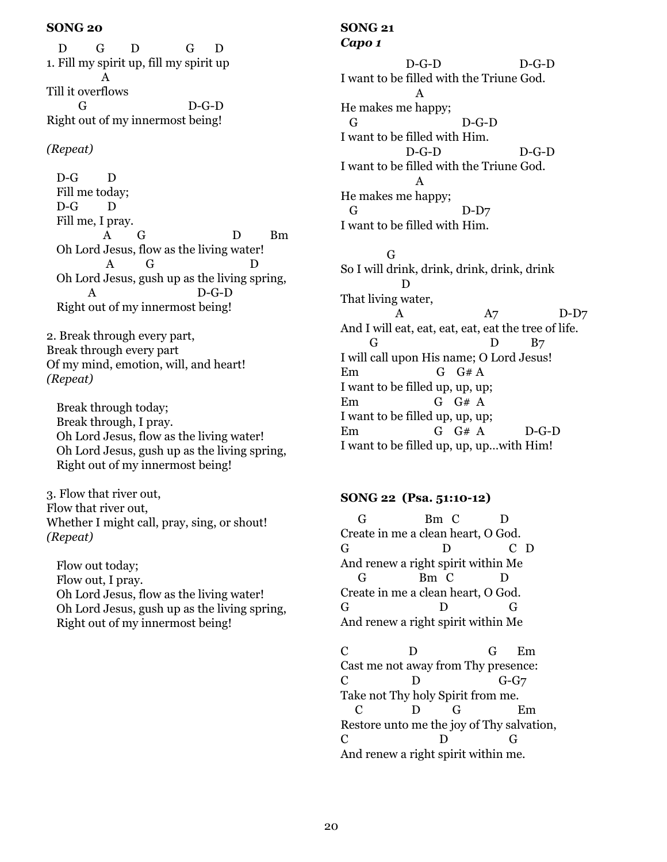D G D G D 1. Fill my spirit up, fill my spirit up A Till it overflows G D-G-D Right out of my innermost being!

# *(Repeat)*

D-G D Fill me today; D-G D Fill me, I pray. A G D Bm Oh Lord Jesus, flow as the living water! A G D Oh Lord Jesus, gush up as the living spring,  $D-G-D$ Right out of my innermost being!

2. Break through every part, Break through every part Of my mind, emotion, will, and heart! *(Repeat)*

Break through today; Break through, I pray. Oh Lord Jesus, flow as the living water! Oh Lord Jesus, gush up as the living spring, Right out of my innermost being!

3. Flow that river out, Flow that river out, Whether I might call, pray, sing, or shout! *(Repeat)*

Flow out today; Flow out, I pray. Oh Lord Jesus, flow as the living water! Oh Lord Jesus, gush up as the living spring, Right out of my innermost being!

#### **SONG 21** *Capo 1*

 D-G-D D-G-D I want to be filled with the Triune God. A He makes me happy; G D-G-D I want to be filled with Him. D-G-D D-G-D I want to be filled with the Triune God. A He makes me happy; G D-D7 I want to be filled with Him.

G

So I will drink, drink, drink, drink, drink D That living water, A A7 D-D7 And I will eat, eat, eat, eat, eat the tree of life. G D B7 I will call upon His name; O Lord Jesus! Em G G# A I want to be filled up, up, up; Em G G# A I want to be filled up, up, up; Em G G# A D-G-D I want to be filled up, up, up…with Him!

## **SONG 22 (Psa. 51:10-12)**

 G Bm C D Create in me a clean heart, O God. G D C D And renew a right spirit within Me G Bm C D Create in me a clean heart, O God. G D G And renew a right spirit within Me

C D G Em Cast me not away from Thy presence: C D G-G7 Take not Thy holy Spirit from me. C D G Em Restore unto me the joy of Thy salvation, C D G And renew a right spirit within me.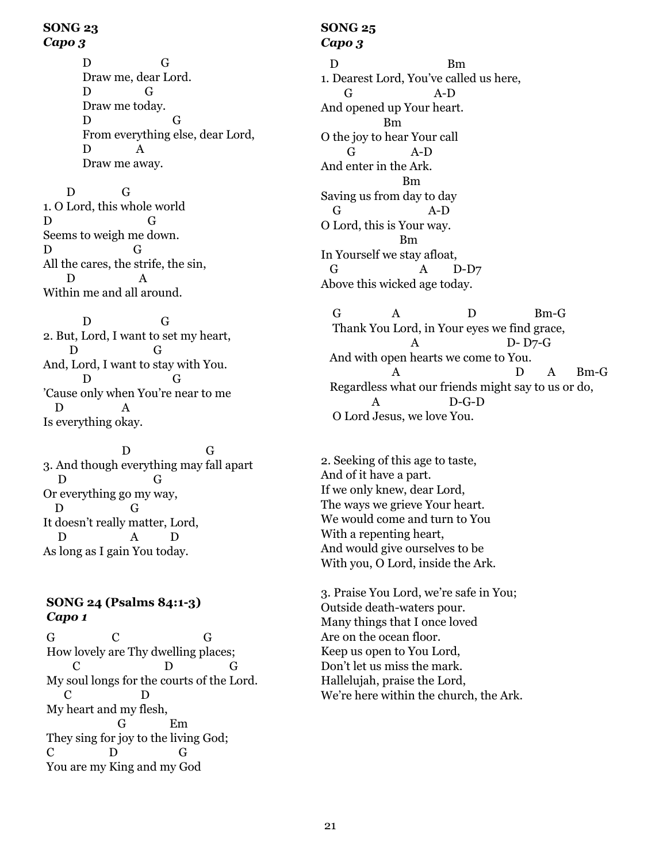#### **SONG 23** *Capo 3*

D G Draw me, dear Lord. D G Draw me today. D G From everything else, dear Lord, D A Draw me away.

 D G 1. O Lord, this whole world D G Seems to weigh me down. D G All the cares, the strife, the sin, D A Within me and all around.

D G 2. But, Lord, I want to set my heart, D G And, Lord, I want to stay with You. D G 'Cause only when You're near to me D A Is everything okay.

D G 3. And though everything may fall apart D G Or everything go my way, D G It doesn't really matter, Lord, D A D As long as I gain You today.

# **SONG 24 (Psalms 84:1-3)** *Capo 1*

G C G How lovely are Thy dwelling places; C D G My soul longs for the courts of the Lord. C D My heart and my flesh, G Em They sing for joy to the living God; C D G You are my King and my God

## **SONG 25** *Capo 3*

D Bm 1. Dearest Lord, You've called us here, G A-D And opened up Your heart. Bm O the joy to hear Your call G A-D And enter in the Ark. Bm Saving us from day to day G A-D O Lord, this is Your way. Bm In Yourself we stay afloat, G A D-D7 Above this wicked age today.

G A D Bm-G Thank You Lord, in Your eyes we find grace, A D- D7-G And with open hearts we come to You. A D A Bm-G Regardless what our friends might say to us or do, A D-G-D O Lord Jesus, we love You.

2. Seeking of this age to taste, And of it have a part. If we only knew, dear Lord, The ways we grieve Your heart. We would come and turn to You With a repenting heart, And would give ourselves to be With you, O Lord, inside the Ark.

3. Praise You Lord, we're safe in You; Outside death-waters pour. Many things that I once loved Are on the ocean floor. Keep us open to You Lord, Don't let us miss the mark. Hallelujah, praise the Lord, We're here within the church, the Ark.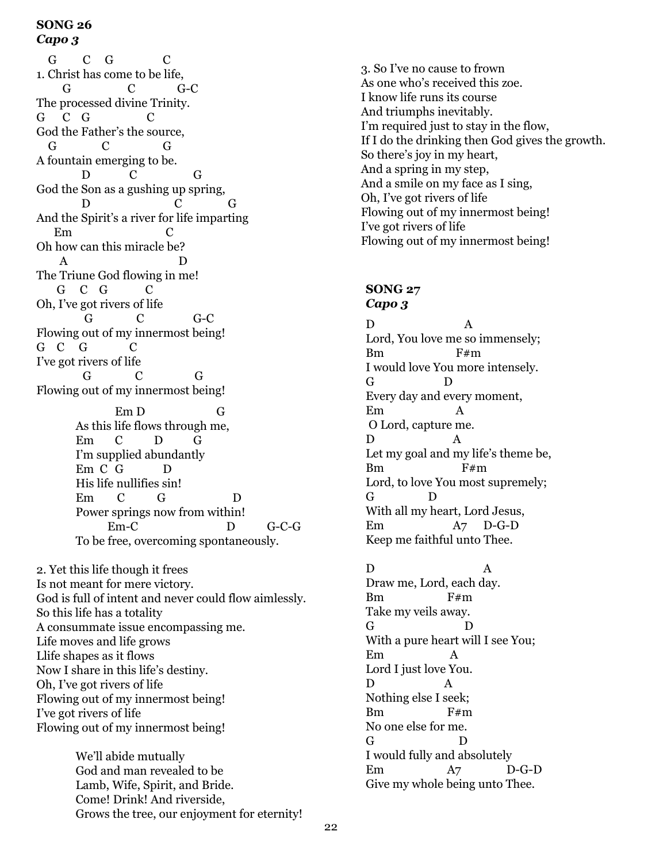#### **SONG 26** *Capo 3*

G C G C 1. Christ has come to be life, G C G-C The processed divine Trinity.  $G \quad C \quad G \qquad C$ God the Father's the source, G C G A fountain emerging to be. D C G God the Son as a gushing up spring, D C G And the Spirit's a river for life imparting Em C Oh how can this miracle be? A D The Triune God flowing in me! G C G C Oh, I've got rivers of life G C G-C Flowing out of my innermost being! G C G C I've got rivers of life G C G Flowing out of my innermost being! Em D G As this life flows through me, Em C D G I'm supplied abundantly Em C G D His life nullifies sin! Em C G D Power springs now from within! Em-C D G-C-G To be free, overcoming spontaneously.

2. Yet this life though it frees Is not meant for mere victory. God is full of intent and never could flow aimlessly. So this life has a totality A consummate issue encompassing me. Life moves and life grows Llife shapes as it flows Now I share in this life's destiny. Oh, I've got rivers of life Flowing out of my innermost being! I've got rivers of life Flowing out of my innermost being!

> We'll abide mutually God and man revealed to be Lamb, Wife, Spirit, and Bride. Come! Drink! And riverside, Grows the tree, our enjoyment for eternity!

3. So I've no cause to frown As one who's received this zoe. I know life runs its course And triumphs inevitably. I'm required just to stay in the flow, If I do the drinking then God gives the growth. So there's joy in my heart, And a spring in my step, And a smile on my face as I sing, Oh, I've got rivers of life Flowing out of my innermost being! I've got rivers of life Flowing out of my innermost being!

# **SONG 27**

### *Capo 3*

D A Lord, You love me so immensely; Bm F#m I would love You more intensely. G D Every day and every moment, Em A O Lord, capture me. D A Let my goal and my life's theme be, Bm F#m Lord, to love You most supremely; G D With all my heart, Lord Jesus, Em A7 D-G-D Keep me faithful unto Thee.

D A Draw me, Lord, each day. Bm F#m Take my veils away. G D With a pure heart will I see You; Em A Lord I just love You. D A Nothing else I seek; Bm F#m No one else for me. G D I would fully and absolutely Em A7 D-G-D Give my whole being unto Thee.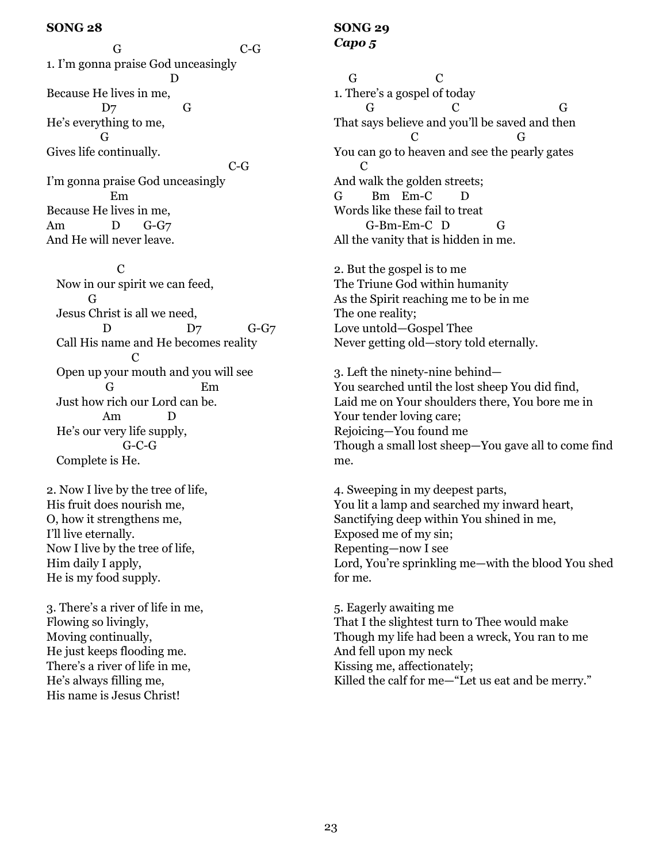G C-G 1. I'm gonna praise God unceasingly D Because He lives in me, D7 G He's everything to me, G Gives life continually. C-G I'm gonna praise God unceasingly Em Because He lives in me, Am D G-G7 And He will never leave.

 C Now in our spirit we can feed, G Jesus Christ is all we need, D D7 G-G7 Call His name and He becomes reality **C** Open up your mouth and you will see G Em Just how rich our Lord can be. Am D He's our very life supply, G-C-G Complete is He.

2. Now I live by the tree of life, His fruit does nourish me, O, how it strengthens me, I'll live eternally. Now I live by the tree of life, Him daily I apply, He is my food supply.

3. There's a river of life in me, Flowing so livingly, Moving continually, He just keeps flooding me. There's a river of life in me, He's always filling me, His name is Jesus Christ!

# **SONG 29** *Capo 5*

 G C 1. There's a gospel of today G C G That says believe and you'll be saved and then C G You can go to heaven and see the pearly gates  $\mathcal{C}$ And walk the golden streets; G Bm Em-C Words like these fail to treat G-Bm-Em-C D G All the vanity that is hidden in me.

2. But the gospel is to me The Triune God within humanity As the Spirit reaching me to be in me The one reality; Love untold—Gospel Thee Never getting old—story told eternally.

3. Left the ninety-nine behind— You searched until the lost sheep You did find, Laid me on Your shoulders there, You bore me in Your tender loving care; Rejoicing—You found me Though a small lost sheep—You gave all to come find me.

4. Sweeping in my deepest parts, You lit a lamp and searched my inward heart, Sanctifying deep within You shined in me, Exposed me of my sin; Repenting—now I see Lord, You're sprinkling me—with the blood You shed for me.

5. Eagerly awaiting me That I the slightest turn to Thee would make Though my life had been a wreck, You ran to me And fell upon my neck Kissing me, affectionately; Killed the calf for me—"Let us eat and be merry."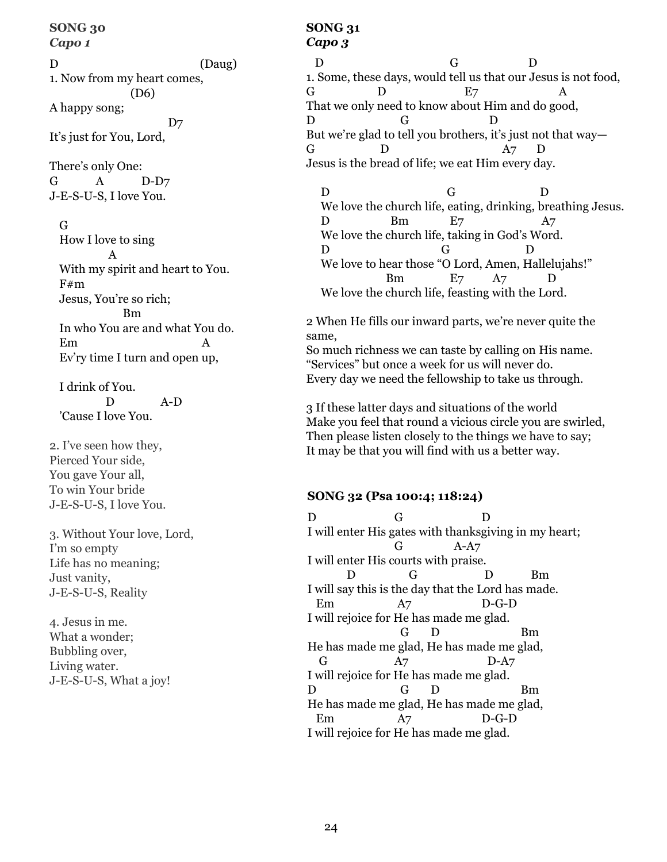#### **SONG 30** *Capo 1*

D (Daug) 1. Now from my heart comes, (D6) A happy song;  $D7$ It's just for You, Lord,

There's only One: G A D-D7 J-E-S-U-S, I love You.

G

How I love to sing A With my spirit and heart to You. F#m Jesus, You're so rich; Bm In who You are and what You do. Em A Ev'ry time I turn and open up,

I drink of You. D A-D 'Cause I love You.

2. I've seen how they, Pierced Your side, You gave Your all, To win Your bride J-E-S-U-S, I love You.

3. Without Your love, Lord, I'm so empty Life has no meaning; Just vanity, J-E-S-U-S, Reality

4. Jesus in me. What a wonder; Bubbling over, Living water. J-E-S-U-S, What a joy!

# **SONG 31** *Capo 3*

D G D 1. Some, these days, would tell us that our Jesus is not food, G  $D$   $E7$   $A$ That we only need to know about Him and do good, D G D But we're glad to tell you brothers, it's just not that way— G D A7 D Jesus is the bread of life; we eat Him every day.

D G D We love the church life, eating, drinking, breathing Jesus. D Bm E7 A7 We love the church life, taking in God's Word. D G D We love to hear those "O Lord, Amen, Hallelujahs!" Bm E7 A7 D We love the church life, feasting with the Lord.

2 When He fills our inward parts, we're never quite the same, So much richness we can taste by calling on His name. "Services" but once a week for us will never do.

Every day we need the fellowship to take us through.

3 If these latter days and situations of the world Make you feel that round a vicious circle you are swirled, Then please listen closely to the things we have to say; It may be that you will find with us a better way.

# **SONG 32 (Psa 100:4; 118:24)**

D G D I will enter His gates with thanksgiving in my heart; G A-A7 I will enter His courts with praise. D G D Bm I will say this is the day that the Lord has made. Em A7 D-G-D I will rejoice for He has made me glad. G D Bm He has made me glad, He has made me glad, G A7 D-A7 I will rejoice for He has made me glad. D G D Bm He has made me glad, He has made me glad, Em A7 D-G-D I will rejoice for He has made me glad.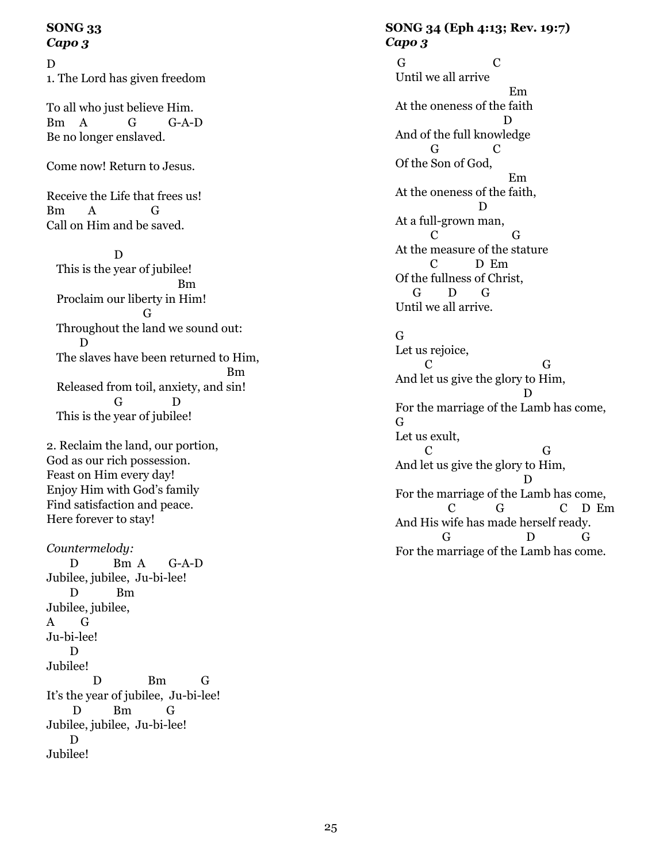## **SONG 33** *Capo 3*

#### D

1. The Lord has given freedom

To all who just believe Him. Bm A G G-A-D Be no longer enslaved.

Come now! Return to Jesus.

Receive the Life that frees us! Bm A G Call on Him and be saved.

 D This is the year of jubilee! Bm Proclaim our liberty in Him! G Throughout the land we sound out: D The slaves have been returned to Him, **Bm** Both Books and Both Books and Books and Books and Books are the Books and Books and Books and Books and Books and Books and Books and Books and Books and Books and Books and Books and Books and Books and Books and Boo Released from toil, anxiety, and sin! G D This is the year of jubilee!

2. Reclaim the land, our portion, God as our rich possession. Feast on Him every day! Enjoy Him with God's family Find satisfaction and peace. Here forever to stay!

*Countermelody:*

 D Bm A G-A-D Jubilee, jubilee, Ju-bi-lee! D Bm Jubilee, jubilee, A G Ju-bi-lee! D Jubilee! D Bm G It's the year of jubilee, Ju-bi-lee! D Bm G Jubilee, jubilee, Ju-bi-lee! D Jubilee!

## **SONG 34 (Eph 4:13; Rev. 19:7)** *Capo 3*

 G C Until we all arrive Em At the oneness of the faith D And of the full knowledge G C Of the Son of God, Em At the oneness of the faith, D At a full-grown man, C G At the measure of the stature C D Em Of the fullness of Christ, G D G Until we all arrive.

# G

Let us rejoice, C G And let us give the glory to Him, D For the marriage of the Lamb has come, G Let us exult, C G And let us give the glory to Him, D For the marriage of the Lamb has come, C G C D Em And His wife has made herself ready. G D G For the marriage of the Lamb has come.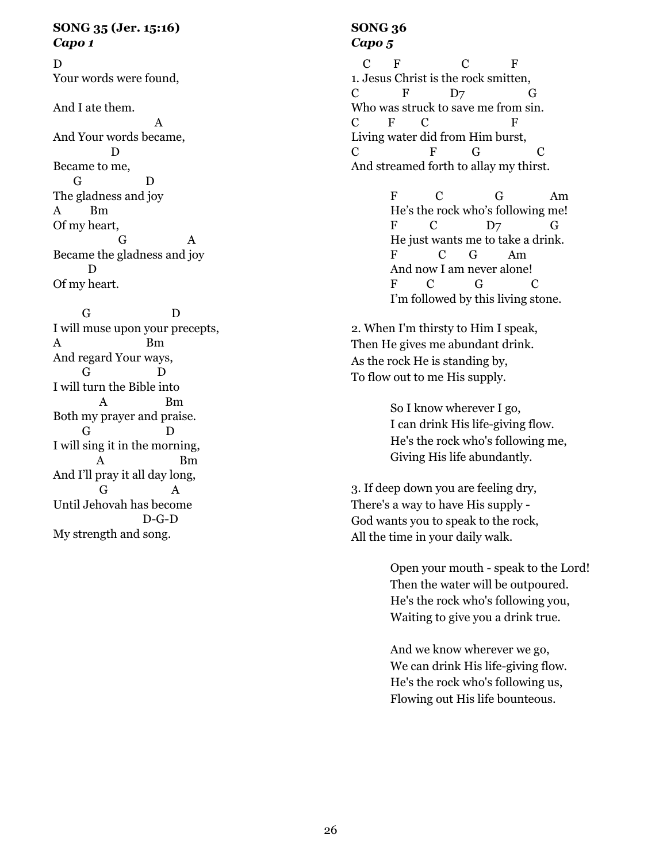## **SONG 35 (Jer. 15:16)** *Capo 1*

D Your words were found,

And I ate them.

 A And Your words became, D Became to me, G D The gladness and joy A Bm Of my heart, G A Became the gladness and joy D Of my heart.

 G D I will muse upon your precepts, A Bm And regard Your ways, G D I will turn the Bible into A Bm Both my prayer and praise. G D I will sing it in the morning, A Bm And I'll pray it all day long, G A Until Jehovah has become D-G-D My strength and song.

# **SONG 36** *Capo 5*

C F C F 1. Jesus Christ is the rock smitten,  $C$  F D7 G Who was struck to save me from sin. C F C F Living water did from Him burst, C F G C And streamed forth to allay my thirst.

> F C G Am He's the rock who's following me! F C D7 G He just wants me to take a drink. F C G Am And now I am never alone! F C G C I'm followed by this living stone.

2. When I'm thirsty to Him I speak, Then He gives me abundant drink. As the rock He is standing by, To flow out to me His supply.

> So I know wherever I go, I can drink His life-giving flow. He's the rock who's following me, Giving His life abundantly.

3. If deep down you are feeling dry, There's a way to have His supply - God wants you to speak to the rock, All the time in your daily walk.

> Open your mouth - speak to the Lord! Then the water will be outpoured. He's the rock who's following you, Waiting to give you a drink true.

And we know wherever we go, We can drink His life-giving flow. He's the rock who's following us, Flowing out His life bounteous.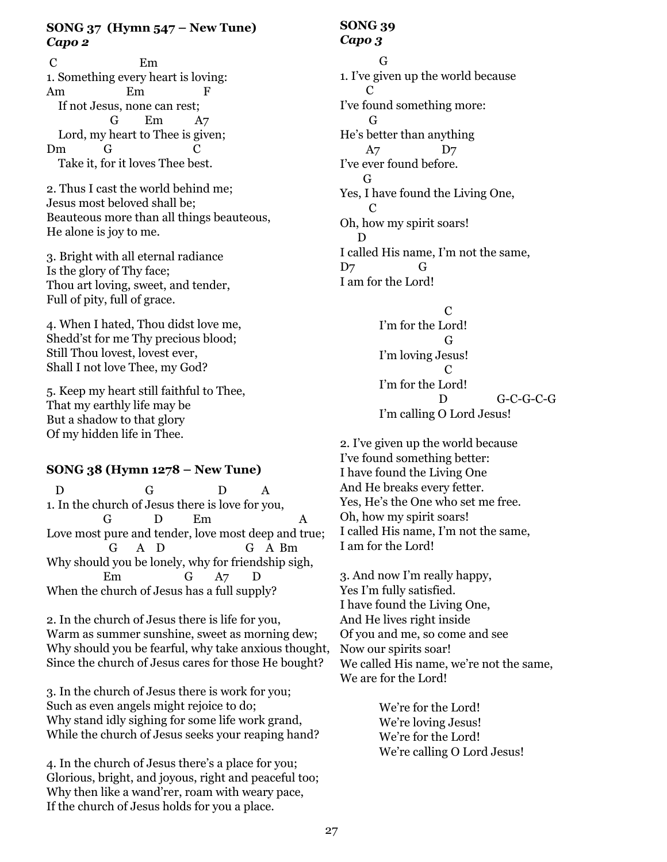# **SONG 37 (Hymn 547 – New Tune)** *Capo 2*

 C Em 1. Something every heart is loving: Am Em F If not Jesus, none can rest; G Em A7 Lord, my heart to Thee is given; Dm G C Take it, for it loves Thee best.

2. Thus I cast the world behind me; Jesus most beloved shall be; Beauteous more than all things beauteous, He alone is joy to me.

3. Bright with all eternal radiance Is the glory of Thy face; Thou art loving, sweet, and tender, Full of pity, full of grace.

4. When I hated, Thou didst love me, Shedd'st for me Thy precious blood; Still Thou lovest, lovest ever, Shall I not love Thee, my God?

5. Keep my heart still faithful to Thee, That my earthly life may be But a shadow to that glory Of my hidden life in Thee.

# **SONG 38 (Hymn 1278 – New Tune)**

D G D A 1. In the church of Jesus there is love for you, G D Em A Love most pure and tender, love most deep and true; G A D G A Bm Why should you be lonely, why for friendship sigh, Em G A7 D When the church of Jesus has a full supply?

2. In the church of Jesus there is life for you, Warm as summer sunshine, sweet as morning dew; Why should you be fearful, why take anxious thought, Since the church of Jesus cares for those He bought?

3. In the church of Jesus there is work for you; Such as even angels might rejoice to do; Why stand idly sighing for some life work grand, While the church of Jesus seeks your reaping hand?

4. In the church of Jesus there's a place for you; Glorious, bright, and joyous, right and peaceful too; Why then like a wand'rer, roam with weary pace, If the church of Jesus holds for you a place.

# **SONG 39** *Capo 3*

G 1. I've given up the world because **C** C I've found something more: G He's better than anything A7 D7 I've ever found before. G Yes, I have found the Living One,  $\mathcal{C}$ Oh, how my spirit soars! D I called His name, I'm not the same, D7 G I am for the Lord!

 $\mathcal{C}$ I'm for the Lord! G I'm loving Jesus! C I'm for the Lord! D G-C-G-C-G I'm calling O Lord Jesus!

2. I've given up the world because I've found something better: I have found the Living One And He breaks every fetter. Yes, He's the One who set me free. Oh, how my spirit soars! I called His name, I'm not the same, I am for the Lord!

3. And now I'm really happy, Yes I'm fully satisfied. I have found the Living One, And He lives right inside Of you and me, so come and see Now our spirits soar! We called His name, we're not the same, We are for the Lord!

> We're for the Lord! We're loving Jesus! We're for the Lord! We're calling O Lord Jesus!